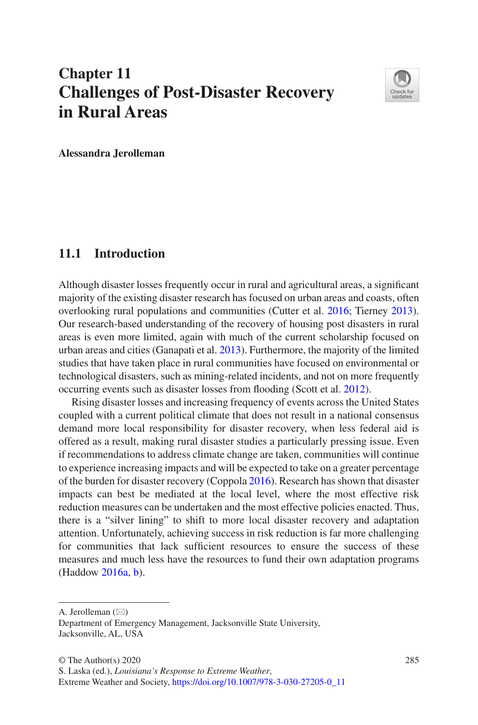# **Chapter 11 Challenges of Post-Disaster Recovery in Rural Areas**



**Alessandra Jerolleman**

# **11.1 Introduction**

Although disaster losses frequently occur in rural and agricultural areas, a significant majority of the existing disaster research has focused on urban areas and coasts, often overlooking rural populations and communities (Cutter et al. [2016;](#page-22-0) Tierney [2013\)](#page-24-0). Our research-based understanding of the recovery of housing post disasters in rural areas is even more limited, again with much of the current scholarship focused on urban areas and cities (Ganapati et al. [2013\)](#page-23-0). Furthermore, the majority of the limited studies that have taken place in rural communities have focused on environmental or technological disasters, such as mining-related incidents, and not on more frequently occurring events such as disaster losses from flooding (Scott et al. [2012\)](#page-24-1).

Rising disaster losses and increasing frequency of events across the United States coupled with a current political climate that does not result in a national consensus demand more local responsibility for disaster recovery, when less federal aid is offered as a result, making rural disaster studies a particularly pressing issue. Even if recommendations to address climate change are taken, communities will continue to experience increasing impacts and will be expected to take on a greater percentage of the burden for disaster recovery (Coppola [2016](#page-22-1)). Research has shown that disaster impacts can best be mediated at the local level, where the most effective risk reduction measures can be undertaken and the most effective policies enacted. Thus, there is a "silver lining" to shift to more local disaster recovery and adaptation attention. Unfortunately, achieving success in risk reduction is far more challenging for communities that lack sufficient resources to ensure the success of these measures and much less have the resources to fund their own adaptation programs (Haddow [2016a,](#page-23-1) [b\)](#page-23-2).

A. Jerolleman  $(\boxtimes)$ 

 $\odot$  The Author(s) 2020 285

Extreme Weather and Society, [https://doi.org/10.1007/978-3-030-27205-0\\_11](https://doi.org/10.1007/978-3-030-27205-0_11)

Department of Emergency Management, Jacksonville State University, Jacksonville, AL, USA

S. Laska (ed.), *Louisiana's Response to Extreme Weather*,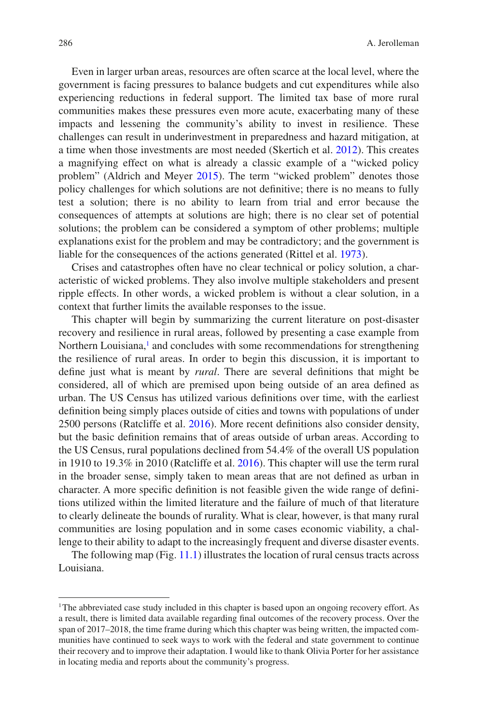Even in larger urban areas, resources are often scarce at the local level, where the government is facing pressures to balance budgets and cut expenditures while also experiencing reductions in federal support. The limited tax base of more rural communities makes these pressures even more acute, exacerbating many of these impacts and lessening the community's ability to invest in resilience. These challenges can result in underinvestment in preparedness and hazard mitigation, at a time when those investments are most needed (Skertich et al. [2012\)](#page-24-2). This creates a magnifying effect on what is already a classic example of a "wicked policy problem" (Aldrich and Meyer [2015\)](#page-22-2). The term "wicked problem" denotes those policy challenges for which solutions are not definitive; there is no means to fully test a solution; there is no ability to learn from trial and error because the consequences of attempts at solutions are high; there is no clear set of potential solutions; the problem can be considered a symptom of other problems; multiple explanations exist for the problem and may be contradictory; and the government is liable for the consequences of the actions generated (Rittel et al. [1973\)](#page-24-3).

Crises and catastrophes often have no clear technical or policy solution, a characteristic of wicked problems. They also involve multiple stakeholders and present ripple effects. In other words, a wicked problem is without a clear solution, in a context that further limits the available responses to the issue.

This chapter will begin by summarizing the current literature on post-disaster recovery and resilience in rural areas, followed by presenting a case example from Northern Louisiana,<sup>1</sup> and concludes with some recommendations for strengthening the resilience of rural areas. In order to begin this discussion, it is important to define just what is meant by *rural*. There are several definitions that might be considered, all of which are premised upon being outside of an area defined as urban. The US Census has utilized various definitions over time, with the earliest definition being simply places outside of cities and towns with populations of under 2500 persons (Ratcliffe et al. [2016\)](#page-24-4). More recent definitions also consider density, but the basic definition remains that of areas outside of urban areas. According to the US Census, rural populations declined from 54.4% of the overall US population in 1910 to 19.3% in 2010 (Ratcliffe et al. [2016](#page-24-4)). This chapter will use the term rural in the broader sense, simply taken to mean areas that are not defined as urban in character. A more specific definition is not feasible given the wide range of definitions utilized within the limited literature and the failure of much of that literature to clearly delineate the bounds of rurality. What is clear, however, is that many rural communities are losing population and in some cases economic viability, a challenge to their ability to adapt to the increasingly frequent and diverse disaster events.

The following map (Fig. [11.1](#page-2-0)) illustrates the location of rural census tracts across Louisiana.

<span id="page-1-0"></span><sup>&</sup>lt;sup>1</sup>The abbreviated case study included in this chapter is based upon an ongoing recovery effort. As a result, there is limited data available regarding final outcomes of the recovery process. Over the span of 2017–2018, the time frame during which this chapter was being written, the impacted communities have continued to seek ways to work with the federal and state government to continue their recovery and to improve their adaptation. I would like to thank Olivia Porter for her assistance in locating media and reports about the community's progress.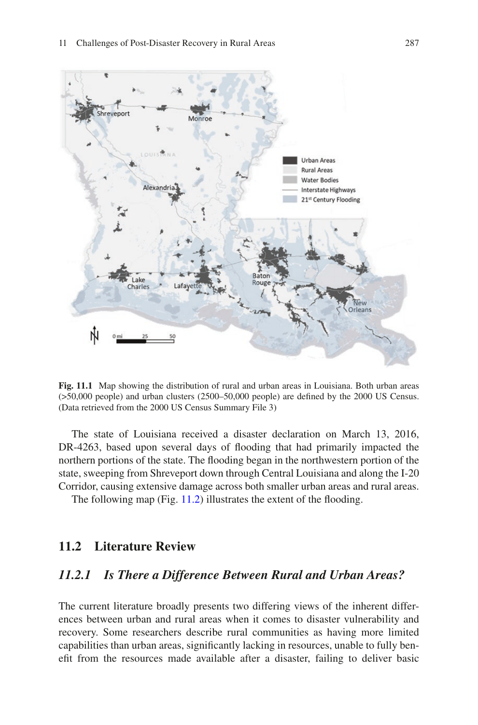<span id="page-2-0"></span>

**Fig. 11.1** Map showing the distribution of rural and urban areas in Louisiana. Both urban areas (>50,000 people) and urban clusters (2500–50,000 people) are defined by the 2000 US Census. (Data retrieved from the 2000 US Census Summary File 3)

The state of Louisiana received a disaster declaration on March 13, 2016, DR-4263, based upon several days of flooding that had primarily impacted the northern portions of the state. The flooding began in the northwestern portion of the state, sweeping from Shreveport down through Central Louisiana and along the I-20 Corridor, causing extensive damage across both smaller urban areas and rural areas.

The following map (Fig. [11.2\)](#page-3-0) illustrates the extent of the flooding.

# **11.2 Literature Review**

# *11.2.1 Is There a Difference Between Rural and Urban Areas?*

The current literature broadly presents two differing views of the inherent differences between urban and rural areas when it comes to disaster vulnerability and recovery. Some researchers describe rural communities as having more limited capabilities than urban areas, significantly lacking in resources, unable to fully benefit from the resources made available after a disaster, failing to deliver basic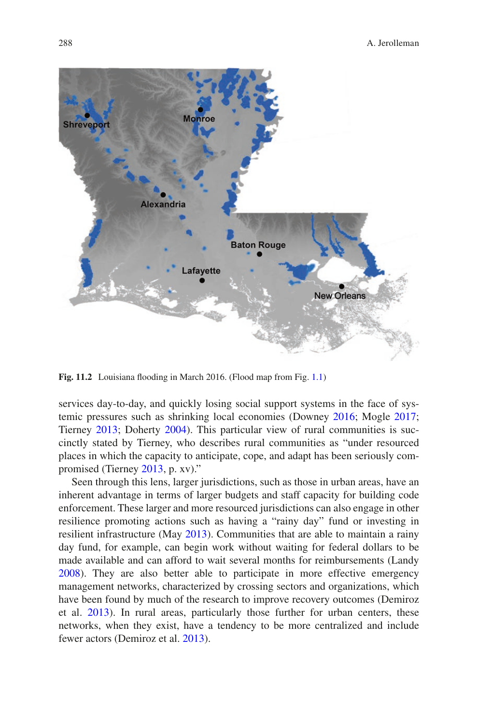<span id="page-3-0"></span>

**Fig. 11.2** Louisiana flooding in March 2016. (Flood map from Fig. [1.1](https://doi.org/10.1007/978-3-030-27205-0_1#Fig1))

services day-to-day, and quickly losing social support systems in the face of systemic pressures such as shrinking local economies (Downey [2016](#page-22-3); Mogle [2017;](#page-24-5) Tierney [2013](#page-24-0); Doherty [2004\)](#page-22-4). This particular view of rural communities is succinctly stated by Tierney, who describes rural communities as "under resourced places in which the capacity to anticipate, cope, and adapt has been seriously compromised (Tierney [2013](#page-24-0), p. xv)."

Seen through this lens, larger jurisdictions, such as those in urban areas, have an inherent advantage in terms of larger budgets and staff capacity for building code enforcement. These larger and more resourced jurisdictions can also engage in other resilience promoting actions such as having a "rainy day" fund or investing in resilient infrastructure (May [2013\)](#page-23-3). Communities that are able to maintain a rainy day fund, for example, can begin work without waiting for federal dollars to be made available and can afford to wait several months for reimbursements (Landy [2008\)](#page-23-4). They are also better able to participate in more effective emergency management networks, characterized by crossing sectors and organizations, which have been found by much of the research to improve recovery outcomes (Demiroz et al. [2013\)](#page-22-5). In rural areas, particularly those further for urban centers, these networks, when they exist, have a tendency to be more centralized and include fewer actors (Demiroz et al. [2013](#page-22-5)).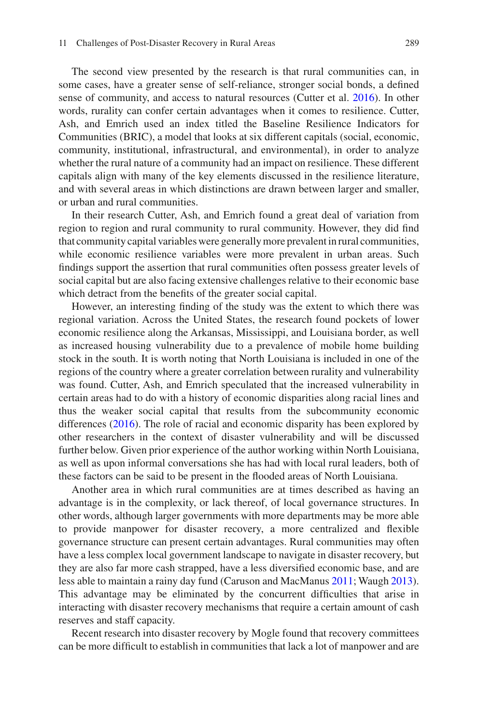The second view presented by the research is that rural communities can, in some cases, have a greater sense of self-reliance, stronger social bonds, a defined sense of community, and access to natural resources (Cutter et al. [2016](#page-22-0)). In other words, rurality can confer certain advantages when it comes to resilience. Cutter, Ash, and Emrich used an index titled the Baseline Resilience Indicators for Communities (BRIC), a model that looks at six different capitals (social, economic, community, institutional, infrastructural, and environmental), in order to analyze whether the rural nature of a community had an impact on resilience. These different capitals align with many of the key elements discussed in the resilience literature, and with several areas in which distinctions are drawn between larger and smaller, or urban and rural communities.

In their research Cutter, Ash, and Emrich found a great deal of variation from region to region and rural community to rural community. However, they did find that community capital variables were generally more prevalent in rural communities, while economic resilience variables were more prevalent in urban areas. Such findings support the assertion that rural communities often possess greater levels of social capital but are also facing extensive challenges relative to their economic base which detract from the benefits of the greater social capital.

However, an interesting finding of the study was the extent to which there was regional variation. Across the United States, the research found pockets of lower economic resilience along the Arkansas, Mississippi, and Louisiana border, as well as increased housing vulnerability due to a prevalence of mobile home building stock in the south. It is worth noting that North Louisiana is included in one of the regions of the country where a greater correlation between rurality and vulnerability was found. Cutter, Ash, and Emrich speculated that the increased vulnerability in certain areas had to do with a history of economic disparities along racial lines and thus the weaker social capital that results from the subcommunity economic differences ([2016\)](#page-22-0). The role of racial and economic disparity has been explored by other researchers in the context of disaster vulnerability and will be discussed further below. Given prior experience of the author working within North Louisiana, as well as upon informal conversations she has had with local rural leaders, both of these factors can be said to be present in the flooded areas of North Louisiana.

Another area in which rural communities are at times described as having an advantage is in the complexity, or lack thereof, of local governance structures. In other words, although larger governments with more departments may be more able to provide manpower for disaster recovery, a more centralized and flexible governance structure can present certain advantages. Rural communities may often have a less complex local government landscape to navigate in disaster recovery, but they are also far more cash strapped, have a less diversified economic base, and are less able to maintain a rainy day fund (Caruson and MacManus [2011;](#page-22-6) Waugh [2013\)](#page-24-6). This advantage may be eliminated by the concurrent difficulties that arise in interacting with disaster recovery mechanisms that require a certain amount of cash reserves and staff capacity.

Recent research into disaster recovery by Mogle found that recovery committees can be more difficult to establish in communities that lack a lot of manpower and are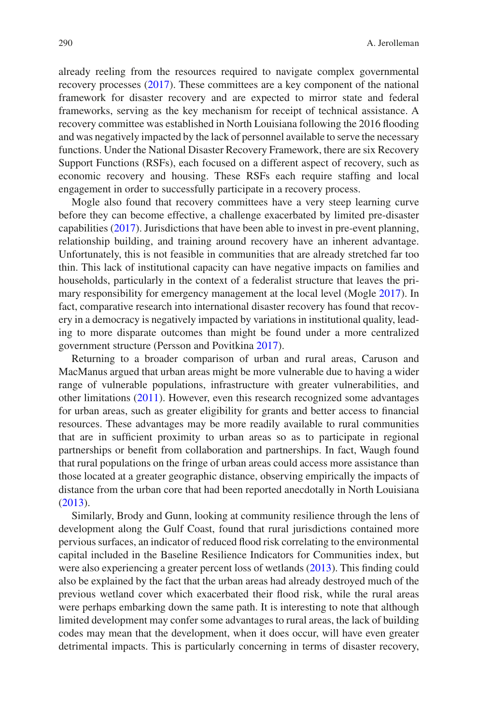already reeling from the resources required to navigate complex governmental recovery processes ([2017\)](#page-24-5). These committees are a key component of the national framework for disaster recovery and are expected to mirror state and federal frameworks, serving as the key mechanism for receipt of technical assistance. A recovery committee was established in North Louisiana following the 2016 flooding and was negatively impacted by the lack of personnel available to serve the necessary functions. Under the National Disaster Recovery Framework, there are six Recovery Support Functions (RSFs), each focused on a different aspect of recovery, such as economic recovery and housing. These RSFs each require staffing and local engagement in order to successfully participate in a recovery process.

Mogle also found that recovery committees have a very steep learning curve before they can become effective, a challenge exacerbated by limited pre-disaster capabilities ([2017\)](#page-24-5). Jurisdictions that have been able to invest in pre-event planning, relationship building, and training around recovery have an inherent advantage. Unfortunately, this is not feasible in communities that are already stretched far too thin. This lack of institutional capacity can have negative impacts on families and households, particularly in the context of a federalist structure that leaves the primary responsibility for emergency management at the local level (Mogle [2017\)](#page-24-5). In fact, comparative research into international disaster recovery has found that recovery in a democracy is negatively impacted by variations in institutional quality, leading to more disparate outcomes than might be found under a more centralized government structure (Persson and Povitkina [2017\)](#page-24-7).

Returning to a broader comparison of urban and rural areas, Caruson and MacManus argued that urban areas might be more vulnerable due to having a wider range of vulnerable populations, infrastructure with greater vulnerabilities, and other limitations [\(2011](#page-22-6)). However, even this research recognized some advantages for urban areas, such as greater eligibility for grants and better access to financial resources. These advantages may be more readily available to rural communities that are in sufficient proximity to urban areas so as to participate in regional partnerships or benefit from collaboration and partnerships. In fact, Waugh found that rural populations on the fringe of urban areas could access more assistance than those located at a greater geographic distance, observing empirically the impacts of distance from the urban core that had been reported anecdotally in North Louisiana [\(2013](#page-24-6)).

Similarly, Brody and Gunn, looking at community resilience through the lens of development along the Gulf Coast, found that rural jurisdictions contained more pervious surfaces, an indicator of reduced flood risk correlating to the environmental capital included in the Baseline Resilience Indicators for Communities index, but were also experiencing a greater percent loss of wetlands ([2013\)](#page-22-7). This finding could also be explained by the fact that the urban areas had already destroyed much of the previous wetland cover which exacerbated their flood risk, while the rural areas were perhaps embarking down the same path. It is interesting to note that although limited development may confer some advantages to rural areas, the lack of building codes may mean that the development, when it does occur, will have even greater detrimental impacts. This is particularly concerning in terms of disaster recovery,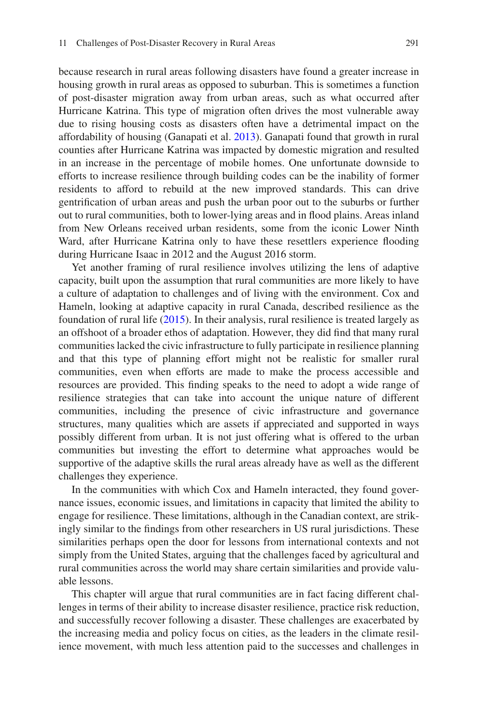because research in rural areas following disasters have found a greater increase in housing growth in rural areas as opposed to suburban. This is sometimes a function of post-disaster migration away from urban areas, such as what occurred after Hurricane Katrina. This type of migration often drives the most vulnerable away due to rising housing costs as disasters often have a detrimental impact on the affordability of housing (Ganapati et al. [2013](#page-23-0)). Ganapati found that growth in rural counties after Hurricane Katrina was impacted by domestic migration and resulted in an increase in the percentage of mobile homes. One unfortunate downside to efforts to increase resilience through building codes can be the inability of former residents to afford to rebuild at the new improved standards. This can drive gentrification of urban areas and push the urban poor out to the suburbs or further out to rural communities, both to lower-lying areas and in flood plains. Areas inland from New Orleans received urban residents, some from the iconic Lower Ninth Ward, after Hurricane Katrina only to have these resettlers experience flooding during Hurricane Isaac in 2012 and the August 2016 storm.

Yet another framing of rural resilience involves utilizing the lens of adaptive capacity, built upon the assumption that rural communities are more likely to have a culture of adaptation to challenges and of living with the environment. Cox and Hameln, looking at adaptive capacity in rural Canada, described resilience as the foundation of rural life [\(2015](#page-22-8)). In their analysis, rural resilience is treated largely as an offshoot of a broader ethos of adaptation. However, they did find that many rural communities lacked the civic infrastructure to fully participate in resilience planning and that this type of planning effort might not be realistic for smaller rural communities, even when efforts are made to make the process accessible and resources are provided. This finding speaks to the need to adopt a wide range of resilience strategies that can take into account the unique nature of different communities, including the presence of civic infrastructure and governance structures, many qualities which are assets if appreciated and supported in ways possibly different from urban. It is not just offering what is offered to the urban communities but investing the effort to determine what approaches would be supportive of the adaptive skills the rural areas already have as well as the different challenges they experience.

In the communities with which Cox and Hameln interacted, they found governance issues, economic issues, and limitations in capacity that limited the ability to engage for resilience. These limitations, although in the Canadian context, are strikingly similar to the findings from other researchers in US rural jurisdictions. These similarities perhaps open the door for lessons from international contexts and not simply from the United States, arguing that the challenges faced by agricultural and rural communities across the world may share certain similarities and provide valuable lessons.

This chapter will argue that rural communities are in fact facing different challenges in terms of their ability to increase disaster resilience, practice risk reduction, and successfully recover following a disaster. These challenges are exacerbated by the increasing media and policy focus on cities, as the leaders in the climate resilience movement, with much less attention paid to the successes and challenges in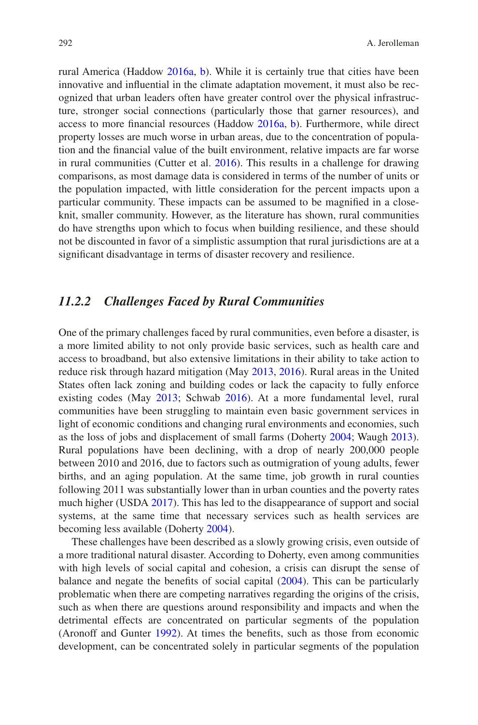rural America (Haddow [2016a](#page-23-1), [b\)](#page-23-2). While it is certainly true that cities have been innovative and influential in the climate adaptation movement, it must also be recognized that urban leaders often have greater control over the physical infrastructure, stronger social connections (particularly those that garner resources), and access to more financial resources (Haddow [2016a](#page-23-1), [b](#page-23-2)). Furthermore, while direct property losses are much worse in urban areas, due to the concentration of population and the financial value of the built environment, relative impacts are far worse in rural communities (Cutter et al. [2016\)](#page-22-0). This results in a challenge for drawing comparisons, as most damage data is considered in terms of the number of units or the population impacted, with little consideration for the percent impacts upon a particular community. These impacts can be assumed to be magnified in a closeknit, smaller community. However, as the literature has shown, rural communities do have strengths upon which to focus when building resilience, and these should not be discounted in favor of a simplistic assumption that rural jurisdictions are at a significant disadvantage in terms of disaster recovery and resilience.

# *11.2.2 Challenges Faced by Rural Communities*

One of the primary challenges faced by rural communities, even before a disaster, is a more limited ability to not only provide basic services, such as health care and access to broadband, but also extensive limitations in their ability to take action to reduce risk through hazard mitigation (May [2013,](#page-23-3) [2016\)](#page-22-0). Rural areas in the United States often lack zoning and building codes or lack the capacity to fully enforce existing codes (May [2013;](#page-23-3) Schwab [2016](#page-24-8)). At a more fundamental level, rural communities have been struggling to maintain even basic government services in light of economic conditions and changing rural environments and economies, such as the loss of jobs and displacement of small farms (Doherty [2004](#page-22-4); Waugh [2013\)](#page-24-6). Rural populations have been declining, with a drop of nearly 200,000 people between 2010 and 2016, due to factors such as outmigration of young adults, fewer births, and an aging population. At the same time, job growth in rural counties following 2011 was substantially lower than in urban counties and the poverty rates much higher (USDA [2017](#page-24-9)). This has led to the disappearance of support and social systems, at the same time that necessary services such as health services are becoming less available (Doherty [2004](#page-22-4)).

These challenges have been described as a slowly growing crisis, even outside of a more traditional natural disaster. According to Doherty, even among communities with high levels of social capital and cohesion, a crisis can disrupt the sense of balance and negate the benefits of social capital [\(2004](#page-22-4)). This can be particularly problematic when there are competing narratives regarding the origins of the crisis, such as when there are questions around responsibility and impacts and when the detrimental effects are concentrated on particular segments of the population (Aronoff and Gunter [1992\)](#page-22-9). At times the benefits, such as those from economic development, can be concentrated solely in particular segments of the population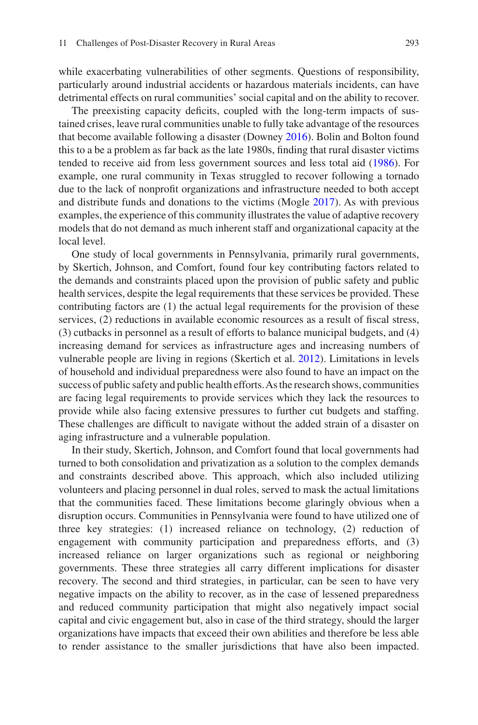while exacerbating vulnerabilities of other segments. Questions of responsibility, particularly around industrial accidents or hazardous materials incidents, can have detrimental effects on rural communities' social capital and on the ability to recover.

The preexisting capacity deficits, coupled with the long-term impacts of sustained crises, leave rural communities unable to fully take advantage of the resources that become available following a disaster (Downey [2016\)](#page-22-3). Bolin and Bolton found this to a be a problem as far back as the late 1980s, finding that rural disaster victims tended to receive aid from less government sources and less total aid ([1986\)](#page-22-10). For example, one rural community in Texas struggled to recover following a tornado due to the lack of nonprofit organizations and infrastructure needed to both accept and distribute funds and donations to the victims (Mogle [2017\)](#page-24-5). As with previous examples, the experience of this community illustrates the value of adaptive recovery models that do not demand as much inherent staff and organizational capacity at the local level.

One study of local governments in Pennsylvania, primarily rural governments, by Skertich, Johnson, and Comfort, found four key contributing factors related to the demands and constraints placed upon the provision of public safety and public health services, despite the legal requirements that these services be provided. These contributing factors are (1) the actual legal requirements for the provision of these services, (2) reductions in available economic resources as a result of fiscal stress, (3) cutbacks in personnel as a result of efforts to balance municipal budgets, and (4) increasing demand for services as infrastructure ages and increasing numbers of vulnerable people are living in regions (Skertich et al. [2012](#page-24-2)). Limitations in levels of household and individual preparedness were also found to have an impact on the success of public safety and public health efforts. As the research shows, communities are facing legal requirements to provide services which they lack the resources to provide while also facing extensive pressures to further cut budgets and staffing. These challenges are difficult to navigate without the added strain of a disaster on aging infrastructure and a vulnerable population.

In their study, Skertich, Johnson, and Comfort found that local governments had turned to both consolidation and privatization as a solution to the complex demands and constraints described above. This approach, which also included utilizing volunteers and placing personnel in dual roles, served to mask the actual limitations that the communities faced. These limitations become glaringly obvious when a disruption occurs. Communities in Pennsylvania were found to have utilized one of three key strategies: (1) increased reliance on technology, (2) reduction of engagement with community participation and preparedness efforts, and (3) increased reliance on larger organizations such as regional or neighboring governments. These three strategies all carry different implications for disaster recovery. The second and third strategies, in particular, can be seen to have very negative impacts on the ability to recover, as in the case of lessened preparedness and reduced community participation that might also negatively impact social capital and civic engagement but, also in case of the third strategy, should the larger organizations have impacts that exceed their own abilities and therefore be less able to render assistance to the smaller jurisdictions that have also been impacted.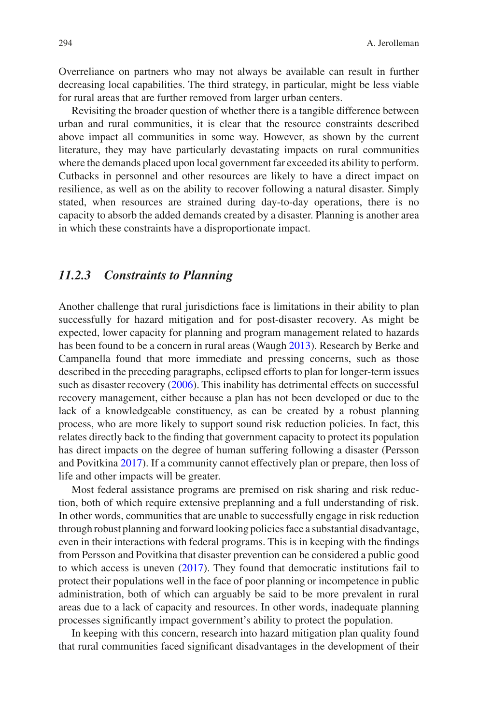Overreliance on partners who may not always be available can result in further decreasing local capabilities. The third strategy, in particular, might be less viable for rural areas that are further removed from larger urban centers.

Revisiting the broader question of whether there is a tangible difference between urban and rural communities, it is clear that the resource constraints described above impact all communities in some way. However, as shown by the current literature, they may have particularly devastating impacts on rural communities where the demands placed upon local government far exceeded its ability to perform. Cutbacks in personnel and other resources are likely to have a direct impact on resilience, as well as on the ability to recover following a natural disaster. Simply stated, when resources are strained during day-to-day operations, there is no capacity to absorb the added demands created by a disaster. Planning is another area in which these constraints have a disproportionate impact.

### *11.2.3 Constraints to Planning*

Another challenge that rural jurisdictions face is limitations in their ability to plan successfully for hazard mitigation and for post-disaster recovery. As might be expected, lower capacity for planning and program management related to hazards has been found to be a concern in rural areas (Waugh [2013\)](#page-24-6). Research by Berke and Campanella found that more immediate and pressing concerns, such as those described in the preceding paragraphs, eclipsed efforts to plan for longer-term issues such as disaster recovery ([2006\)](#page-22-11). This inability has detrimental effects on successful recovery management, either because a plan has not been developed or due to the lack of a knowledgeable constituency, as can be created by a robust planning process, who are more likely to support sound risk reduction policies. In fact, this relates directly back to the finding that government capacity to protect its population has direct impacts on the degree of human suffering following a disaster (Persson and Povitkina [2017\)](#page-24-7). If a community cannot effectively plan or prepare, then loss of life and other impacts will be greater.

Most federal assistance programs are premised on risk sharing and risk reduction, both of which require extensive preplanning and a full understanding of risk. In other words, communities that are unable to successfully engage in risk reduction through robust planning and forward looking policies face a substantial disadvantage, even in their interactions with federal programs. This is in keeping with the findings from Persson and Povitkina that disaster prevention can be considered a public good to which access is uneven [\(2017](#page-24-7)). They found that democratic institutions fail to protect their populations well in the face of poor planning or incompetence in public administration, both of which can arguably be said to be more prevalent in rural areas due to a lack of capacity and resources. In other words, inadequate planning processes significantly impact government's ability to protect the population.

In keeping with this concern, research into hazard mitigation plan quality found that rural communities faced significant disadvantages in the development of their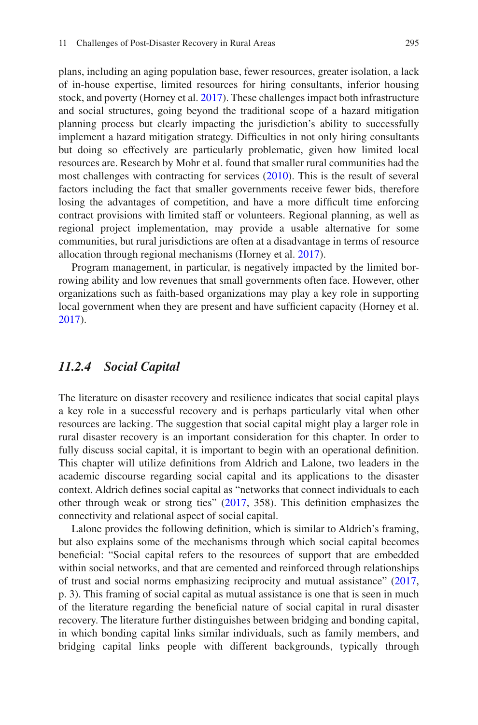plans, including an aging population base, fewer resources, greater isolation, a lack of in-house expertise, limited resources for hiring consultants, inferior housing stock, and poverty (Horney et al. [2017\)](#page-23-5). These challenges impact both infrastructure and social structures, going beyond the traditional scope of a hazard mitigation planning process but clearly impacting the jurisdiction's ability to successfully implement a hazard mitigation strategy. Difficulties in not only hiring consultants but doing so effectively are particularly problematic, given how limited local resources are. Research by Mohr et al. found that smaller rural communities had the most challenges with contracting for services [\(2010](#page-24-10)). This is the result of several factors including the fact that smaller governments receive fewer bids, therefore losing the advantages of competition, and have a more difficult time enforcing contract provisions with limited staff or volunteers. Regional planning, as well as regional project implementation, may provide a usable alternative for some communities, but rural jurisdictions are often at a disadvantage in terms of resource allocation through regional mechanisms (Horney et al. [2017](#page-23-5)).

Program management, in particular, is negatively impacted by the limited borrowing ability and low revenues that small governments often face. However, other organizations such as faith-based organizations may play a key role in supporting local government when they are present and have sufficient capacity (Horney et al. [2017\)](#page-23-5).

## *11.2.4 Social Capital*

The literature on disaster recovery and resilience indicates that social capital plays a key role in a successful recovery and is perhaps particularly vital when other resources are lacking. The suggestion that social capital might play a larger role in rural disaster recovery is an important consideration for this chapter. In order to fully discuss social capital, it is important to begin with an operational definition. This chapter will utilize definitions from Aldrich and Lalone, two leaders in the academic discourse regarding social capital and its applications to the disaster context. Aldrich defines social capital as "networks that connect individuals to each other through weak or strong ties" ([2017,](#page-22-12) 358). This definition emphasizes the connectivity and relational aspect of social capital.

Lalone provides the following definition, which is similar to Aldrich's framing, but also explains some of the mechanisms through which social capital becomes beneficial: "Social capital refers to the resources of support that are embedded within social networks, and that are cemented and reinforced through relationships of trust and social norms emphasizing reciprocity and mutual assistance" ([2017,](#page-22-12) p. 3). This framing of social capital as mutual assistance is one that is seen in much of the literature regarding the beneficial nature of social capital in rural disaster recovery. The literature further distinguishes between bridging and bonding capital, in which bonding capital links similar individuals, such as family members, and bridging capital links people with different backgrounds, typically through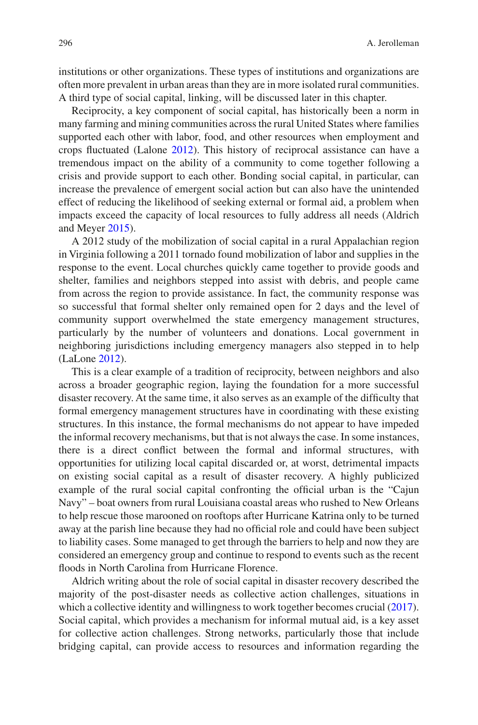institutions or other organizations. These types of institutions and organizations are often more prevalent in urban areas than they are in more isolated rural communities. A third type of social capital, linking, will be discussed later in this chapter.

Reciprocity, a key component of social capital, has historically been a norm in many farming and mining communities across the rural United States where families supported each other with labor, food, and other resources when employment and crops fluctuated (Lalone [2012\)](#page-23-6). This history of reciprocal assistance can have a tremendous impact on the ability of a community to come together following a crisis and provide support to each other. Bonding social capital, in particular, can increase the prevalence of emergent social action but can also have the unintended effect of reducing the likelihood of seeking external or formal aid, a problem when impacts exceed the capacity of local resources to fully address all needs (Aldrich and Meyer [2015](#page-22-2)).

A 2012 study of the mobilization of social capital in a rural Appalachian region in Virginia following a 2011 tornado found mobilization of labor and supplies in the response to the event. Local churches quickly came together to provide goods and shelter, families and neighbors stepped into assist with debris, and people came from across the region to provide assistance. In fact, the community response was so successful that formal shelter only remained open for 2 days and the level of community support overwhelmed the state emergency management structures, particularly by the number of volunteers and donations. Local government in neighboring jurisdictions including emergency managers also stepped in to help (LaLone [2012\)](#page-23-6).

This is a clear example of a tradition of reciprocity, between neighbors and also across a broader geographic region, laying the foundation for a more successful disaster recovery. At the same time, it also serves as an example of the difficulty that formal emergency management structures have in coordinating with these existing structures. In this instance, the formal mechanisms do not appear to have impeded the informal recovery mechanisms, but that is not always the case. In some instances, there is a direct conflict between the formal and informal structures, with opportunities for utilizing local capital discarded or, at worst, detrimental impacts on existing social capital as a result of disaster recovery. A highly publicized example of the rural social capital confronting the official urban is the "Cajun Navy" – boat owners from rural Louisiana coastal areas who rushed to New Orleans to help rescue those marooned on rooftops after Hurricane Katrina only to be turned away at the parish line because they had no official role and could have been subject to liability cases. Some managed to get through the barriers to help and now they are considered an emergency group and continue to respond to events such as the recent floods in North Carolina from Hurricane Florence.

Aldrich writing about the role of social capital in disaster recovery described the majority of the post-disaster needs as collective action challenges, situations in which a collective identity and willingness to work together becomes crucial ([2017\)](#page-22-12). Social capital, which provides a mechanism for informal mutual aid, is a key asset for collective action challenges. Strong networks, particularly those that include bridging capital, can provide access to resources and information regarding the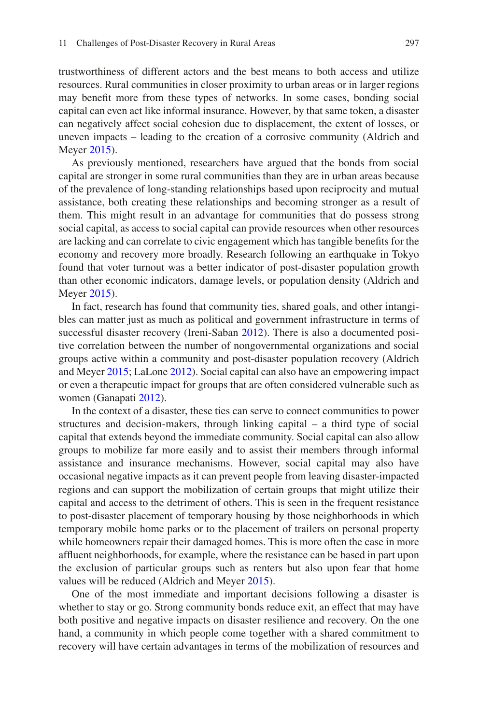trustworthiness of different actors and the best means to both access and utilize resources. Rural communities in closer proximity to urban areas or in larger regions may benefit more from these types of networks. In some cases, bonding social capital can even act like informal insurance. However, by that same token, a disaster can negatively affect social cohesion due to displacement, the extent of losses, or uneven impacts – leading to the creation of a corrosive community (Aldrich and Meyer [2015](#page-22-2)).

As previously mentioned, researchers have argued that the bonds from social capital are stronger in some rural communities than they are in urban areas because of the prevalence of long-standing relationships based upon reciprocity and mutual assistance, both creating these relationships and becoming stronger as a result of them. This might result in an advantage for communities that do possess strong social capital, as access to social capital can provide resources when other resources are lacking and can correlate to civic engagement which has tangible benefits for the economy and recovery more broadly. Research following an earthquake in Tokyo found that voter turnout was a better indicator of post-disaster population growth than other economic indicators, damage levels, or population density (Aldrich and Meyer [2015](#page-22-2)).

In fact, research has found that community ties, shared goals, and other intangibles can matter just as much as political and government infrastructure in terms of successful disaster recovery (Ireni-Saban [2012](#page-23-7)). There is also a documented positive correlation between the number of nongovernmental organizations and social groups active within a community and post-disaster population recovery (Aldrich and Meyer [2015](#page-22-2); LaLone [2012](#page-23-6)). Social capital can also have an empowering impact or even a therapeutic impact for groups that are often considered vulnerable such as women (Ganapati [2012\)](#page-23-8).

In the context of a disaster, these ties can serve to connect communities to power structures and decision-makers, through linking capital  $-$  a third type of social capital that extends beyond the immediate community. Social capital can also allow groups to mobilize far more easily and to assist their members through informal assistance and insurance mechanisms. However, social capital may also have occasional negative impacts as it can prevent people from leaving disaster-impacted regions and can support the mobilization of certain groups that might utilize their capital and access to the detriment of others. This is seen in the frequent resistance to post-disaster placement of temporary housing by those neighborhoods in which temporary mobile home parks or to the placement of trailers on personal property while homeowners repair their damaged homes. This is more often the case in more affluent neighborhoods, for example, where the resistance can be based in part upon the exclusion of particular groups such as renters but also upon fear that home values will be reduced (Aldrich and Meyer [2015\)](#page-22-2).

One of the most immediate and important decisions following a disaster is whether to stay or go. Strong community bonds reduce exit, an effect that may have both positive and negative impacts on disaster resilience and recovery. On the one hand, a community in which people come together with a shared commitment to recovery will have certain advantages in terms of the mobilization of resources and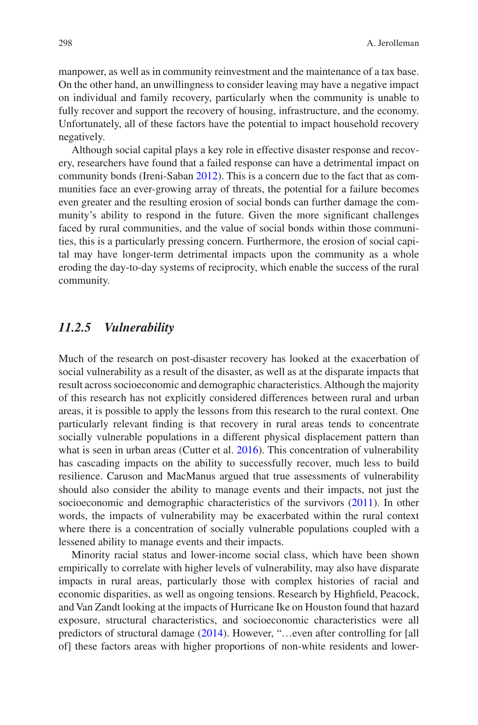manpower, as well as in community reinvestment and the maintenance of a tax base. On the other hand, an unwillingness to consider leaving may have a negative impact on individual and family recovery, particularly when the community is unable to fully recover and support the recovery of housing, infrastructure, and the economy. Unfortunately, all of these factors have the potential to impact household recovery negatively.

Although social capital plays a key role in effective disaster response and recovery, researchers have found that a failed response can have a detrimental impact on community bonds (Ireni-Saban [2012](#page-23-7)). This is a concern due to the fact that as communities face an ever-growing array of threats, the potential for a failure becomes even greater and the resulting erosion of social bonds can further damage the community's ability to respond in the future. Given the more significant challenges faced by rural communities, and the value of social bonds within those communities, this is a particularly pressing concern. Furthermore, the erosion of social capital may have longer-term detrimental impacts upon the community as a whole eroding the day-to-day systems of reciprocity, which enable the success of the rural community.

## *11.2.5 Vulnerability*

Much of the research on post-disaster recovery has looked at the exacerbation of social vulnerability as a result of the disaster, as well as at the disparate impacts that result across socioeconomic and demographic characteristics. Although the majority of this research has not explicitly considered differences between rural and urban areas, it is possible to apply the lessons from this research to the rural context. One particularly relevant finding is that recovery in rural areas tends to concentrate socially vulnerable populations in a different physical displacement pattern than what is seen in urban areas (Cutter et al. [2016\)](#page-22-0). This concentration of vulnerability has cascading impacts on the ability to successfully recover, much less to build resilience. Caruson and MacManus argued that true assessments of vulnerability should also consider the ability to manage events and their impacts, not just the socioeconomic and demographic characteristics of the survivors ([2011\)](#page-22-6). In other words, the impacts of vulnerability may be exacerbated within the rural context where there is a concentration of socially vulnerable populations coupled with a lessened ability to manage events and their impacts.

Minority racial status and lower-income social class, which have been shown empirically to correlate with higher levels of vulnerability, may also have disparate impacts in rural areas, particularly those with complex histories of racial and economic disparities, as well as ongoing tensions. Research by Highfield, Peacock, and Van Zandt looking at the impacts of Hurricane Ike on Houston found that hazard exposure, structural characteristics, and socioeconomic characteristics were all predictors of structural damage [\(2014](#page-23-9)). However, "…even after controlling for [all of] these factors areas with higher proportions of non-white residents and lower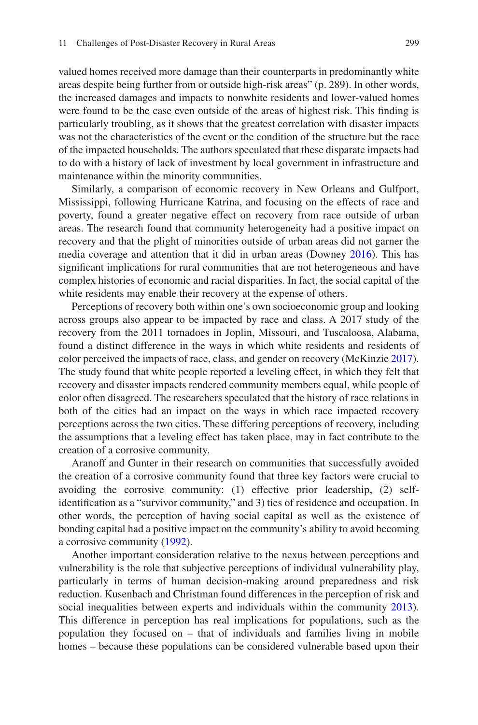valued homes received more damage than their counterparts in predominantly white areas despite being further from or outside high-risk areas" (p. 289). In other words, the increased damages and impacts to nonwhite residents and lower-valued homes were found to be the case even outside of the areas of highest risk. This finding is particularly troubling, as it shows that the greatest correlation with disaster impacts was not the characteristics of the event or the condition of the structure but the race of the impacted households. The authors speculated that these disparate impacts had to do with a history of lack of investment by local government in infrastructure and maintenance within the minority communities.

Similarly, a comparison of economic recovery in New Orleans and Gulfport, Mississippi, following Hurricane Katrina, and focusing on the effects of race and poverty, found a greater negative effect on recovery from race outside of urban areas. The research found that community heterogeneity had a positive impact on recovery and that the plight of minorities outside of urban areas did not garner the media coverage and attention that it did in urban areas (Downey [2016\)](#page-22-3). This has significant implications for rural communities that are not heterogeneous and have complex histories of economic and racial disparities. In fact, the social capital of the white residents may enable their recovery at the expense of others.

Perceptions of recovery both within one's own socioeconomic group and looking across groups also appear to be impacted by race and class. A 2017 study of the recovery from the 2011 tornadoes in Joplin, Missouri, and Tuscaloosa, Alabama, found a distinct difference in the ways in which white residents and residents of color perceived the impacts of race, class, and gender on recovery (McKinzie [2017\)](#page-24-11). The study found that white people reported a leveling effect, in which they felt that recovery and disaster impacts rendered community members equal, while people of color often disagreed. The researchers speculated that the history of race relations in both of the cities had an impact on the ways in which race impacted recovery perceptions across the two cities. These differing perceptions of recovery, including the assumptions that a leveling effect has taken place, may in fact contribute to the creation of a corrosive community.

Aranoff and Gunter in their research on communities that successfully avoided the creation of a corrosive community found that three key factors were crucial to avoiding the corrosive community: (1) effective prior leadership, (2) selfidentification as a "survivor community," and 3) ties of residence and occupation. In other words, the perception of having social capital as well as the existence of bonding capital had a positive impact on the community's ability to avoid becoming a corrosive community [\(1992](#page-22-9)).

Another important consideration relative to the nexus between perceptions and vulnerability is the role that subjective perceptions of individual vulnerability play, particularly in terms of human decision-making around preparedness and risk reduction. Kusenbach and Christman found differences in the perception of risk and social inequalities between experts and individuals within the community [2013\)](#page-23-10). This difference in perception has real implications for populations, such as the population they focused on – that of individuals and families living in mobile homes – because these populations can be considered vulnerable based upon their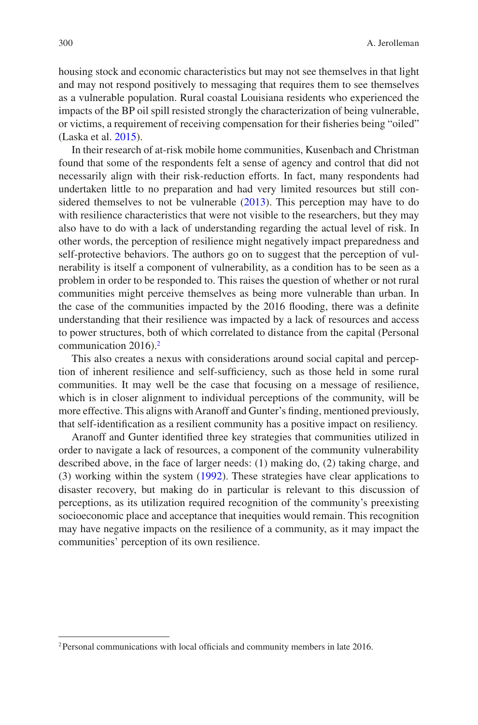housing stock and economic characteristics but may not see themselves in that light and may not respond positively to messaging that requires them to see themselves as a vulnerable population. Rural coastal Louisiana residents who experienced the impacts of the BP oil spill resisted strongly the characterization of being vulnerable, or victims, a requirement of receiving compensation for their fisheries being "oiled" (Laska et al. [2015\)](#page-23-11).

In their research of at-risk mobile home communities, Kusenbach and Christman found that some of the respondents felt a sense of agency and control that did not necessarily align with their risk-reduction efforts. In fact, many respondents had undertaken little to no preparation and had very limited resources but still considered themselves to not be vulnerable [\(2013](#page-23-10)). This perception may have to do with resilience characteristics that were not visible to the researchers, but they may also have to do with a lack of understanding regarding the actual level of risk. In other words, the perception of resilience might negatively impact preparedness and self-protective behaviors. The authors go on to suggest that the perception of vulnerability is itself a component of vulnerability, as a condition has to be seen as a problem in order to be responded to. This raises the question of whether or not rural communities might perceive themselves as being more vulnerable than urban. In the case of the communities impacted by the 2016 flooding, there was a definite understanding that their resilience was impacted by a lack of resources and access to power structures, both of which correlated to distance from the capital (Personal communication 2016)[.2](#page-15-0)

This also creates a nexus with considerations around social capital and perception of inherent resilience and self-sufficiency, such as those held in some rural communities. It may well be the case that focusing on a message of resilience, which is in closer alignment to individual perceptions of the community, will be more effective. This aligns with Aranoff and Gunter's finding, mentioned previously, that self-identification as a resilient community has a positive impact on resiliency.

Aranoff and Gunter identified three key strategies that communities utilized in order to navigate a lack of resources, a component of the community vulnerability described above, in the face of larger needs: (1) making do, (2) taking charge, and (3) working within the system [\(1992](#page-22-9)). These strategies have clear applications to disaster recovery, but making do in particular is relevant to this discussion of perceptions, as its utilization required recognition of the community's preexisting socioeconomic place and acceptance that inequities would remain. This recognition may have negative impacts on the resilience of a community, as it may impact the communities' perception of its own resilience.

<span id="page-15-0"></span><sup>2</sup>Personal communications with local officials and community members in late 2016.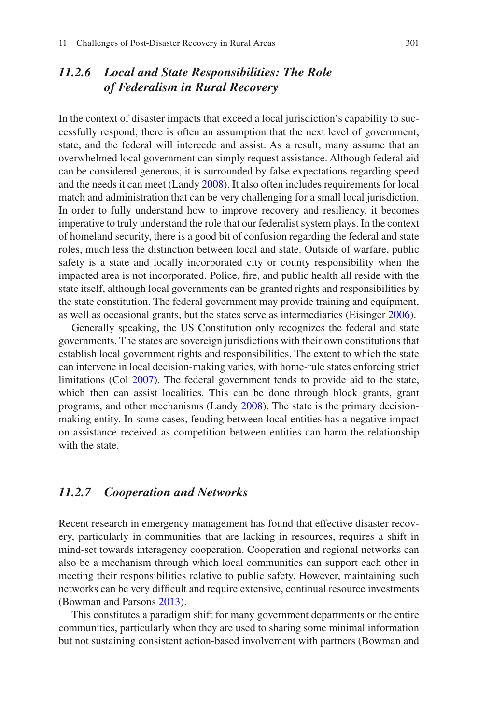# *11.2.6 Local and State Responsibilities: The Role of Federalism in Rural Recovery*

In the context of disaster impacts that exceed a local jurisdiction's capability to successfully respond, there is often an assumption that the next level of government, state, and the federal will intercede and assist. As a result, many assume that an overwhelmed local government can simply request assistance. Although federal aid can be considered generous, it is surrounded by false expectations regarding speed and the needs it can meet (Landy [2008\)](#page-23-4). It also often includes requirements for local match and administration that can be very challenging for a small local jurisdiction. In order to fully understand how to improve recovery and resiliency, it becomes imperative to truly understand the role that our federalist system plays. In the context of homeland security, there is a good bit of confusion regarding the federal and state roles, much less the distinction between local and state. Outside of warfare, public safety is a state and locally incorporated city or county responsibility when the impacted area is not incorporated. Police, fire, and public health all reside with the state itself, although local governments can be granted rights and responsibilities by the state constitution. The federal government may provide training and equipment, as well as occasional grants, but the states serve as intermediaries (Eisinger [2006](#page-22-13)).

Generally speaking, the US Constitution only recognizes the federal and state governments. The states are sovereign jurisdictions with their own constitutions that establish local government rights and responsibilities. The extent to which the state can intervene in local decision-making varies, with home-rule states enforcing strict limitations (Col [2007](#page-22-14)). The federal government tends to provide aid to the state, which then can assist localities. This can be done through block grants, grant programs, and other mechanisms (Landy [2008\)](#page-23-4). The state is the primary decisionmaking entity. In some cases, feuding between local entities has a negative impact on assistance received as competition between entities can harm the relationship with the state.

### *11.2.7 Cooperation and Networks*

Recent research in emergency management has found that effective disaster recovery, particularly in communities that are lacking in resources, requires a shift in mind-set towards interagency cooperation. Cooperation and regional networks can also be a mechanism through which local communities can support each other in meeting their responsibilities relative to public safety. However, maintaining such networks can be very difficult and require extensive, continual resource investments (Bowman and Parsons [2013\)](#page-22-15).

This constitutes a paradigm shift for many government departments or the entire communities, particularly when they are used to sharing some minimal information but not sustaining consistent action-based involvement with partners (Bowman and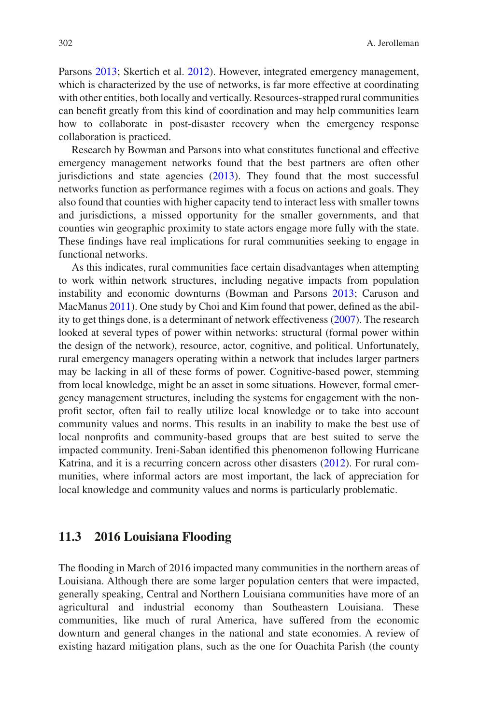Parsons [2013;](#page-22-15) Skertich et al. [2012\)](#page-24-2). However, integrated emergency management, which is characterized by the use of networks, is far more effective at coordinating with other entities, both locally and vertically. Resources-strapped rural communities can benefit greatly from this kind of coordination and may help communities learn how to collaborate in post-disaster recovery when the emergency response collaboration is practiced.

Research by Bowman and Parsons into what constitutes functional and effective emergency management networks found that the best partners are often other jurisdictions and state agencies  $(2013)$  $(2013)$ . They found that the most successful networks function as performance regimes with a focus on actions and goals. They also found that counties with higher capacity tend to interact less with smaller towns and jurisdictions, a missed opportunity for the smaller governments, and that counties win geographic proximity to state actors engage more fully with the state. These findings have real implications for rural communities seeking to engage in functional networks.

As this indicates, rural communities face certain disadvantages when attempting to work within network structures, including negative impacts from population instability and economic downturns (Bowman and Parsons [2013;](#page-22-15) Caruson and MacManus [2011\)](#page-22-6). One study by Choi and Kim found that power, defined as the ability to get things done, is a determinant of network effectiveness [\(2007](#page-22-16)). The research looked at several types of power within networks: structural (formal power within the design of the network), resource, actor, cognitive, and political. Unfortunately, rural emergency managers operating within a network that includes larger partners may be lacking in all of these forms of power. Cognitive-based power, stemming from local knowledge, might be an asset in some situations. However, formal emergency management structures, including the systems for engagement with the nonprofit sector, often fail to really utilize local knowledge or to take into account community values and norms. This results in an inability to make the best use of local nonprofits and community-based groups that are best suited to serve the impacted community. Ireni-Saban identified this phenomenon following Hurricane Katrina, and it is a recurring concern across other disasters ([2012\)](#page-23-7). For rural communities, where informal actors are most important, the lack of appreciation for local knowledge and community values and norms is particularly problematic.

# **11.3 2016 Louisiana Flooding**

The flooding in March of 2016 impacted many communities in the northern areas of Louisiana. Although there are some larger population centers that were impacted, generally speaking, Central and Northern Louisiana communities have more of an agricultural and industrial economy than Southeastern Louisiana. These communities, like much of rural America, have suffered from the economic downturn and general changes in the national and state economies. A review of existing hazard mitigation plans, such as the one for Ouachita Parish (the county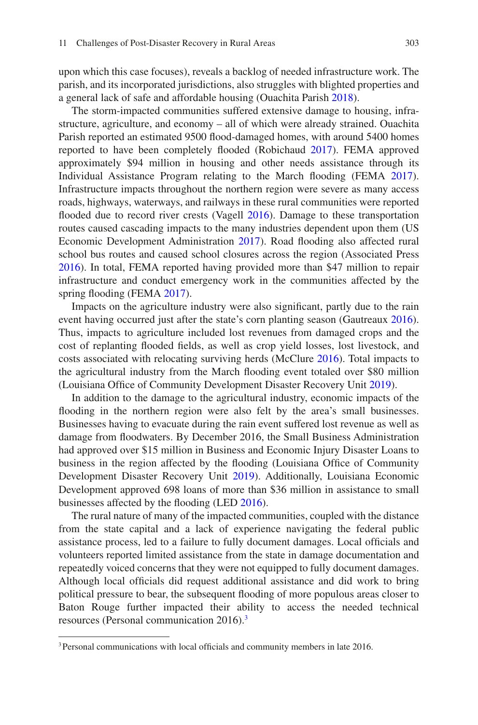upon which this case focuses), reveals a backlog of needed infrastructure work. The parish, and its incorporated jurisdictions, also struggles with blighted properties and a general lack of safe and affordable housing (Ouachita Parish [2018](#page-24-12)).

The storm-impacted communities suffered extensive damage to housing, infrastructure, agriculture, and economy – all of which were already strained. Ouachita Parish reported an estimated 9500 flood-damaged homes, with around 5400 homes reported to have been completely flooded (Robichaud [2017\)](#page-24-13). FEMA approved approximately \$94 million in housing and other needs assistance through its Individual Assistance Program relating to the March flooding (FEMA [2017\)](#page-23-12). Infrastructure impacts throughout the northern region were severe as many access roads, highways, waterways, and railways in these rural communities were reported flooded due to record river crests (Vagell [2016\)](#page-24-14). Damage to these transportation routes caused cascading impacts to the many industries dependent upon them (US Economic Development Administration [2017](#page-24-15)). Road flooding also affected rural school bus routes and caused school closures across the region (Associated Press [2016\)](#page-22-17). In total, FEMA reported having provided more than \$47 million to repair infrastructure and conduct emergency work in the communities affected by the spring flooding (FEMA [2017\)](#page-23-12).

Impacts on the agriculture industry were also significant, partly due to the rain event having occurred just after the state's corn planting season (Gautreaux [2016\)](#page-23-13). Thus, impacts to agriculture included lost revenues from damaged crops and the cost of replanting flooded fields, as well as crop yield losses, lost livestock, and costs associated with relocating surviving herds (McClure [2016\)](#page-23-14). Total impacts to the agricultural industry from the March flooding event totaled over \$80 million (Louisiana Office of Community Development Disaster Recovery Unit [2019\)](#page-23-15).

In addition to the damage to the agricultural industry, economic impacts of the flooding in the northern region were also felt by the area's small businesses. Businesses having to evacuate during the rain event suffered lost revenue as well as damage from floodwaters. By December 2016, the Small Business Administration had approved over \$15 million in Business and Economic Injury Disaster Loans to business in the region affected by the flooding (Louisiana Office of Community Development Disaster Recovery Unit [2019](#page-23-15)). Additionally, Louisiana Economic Development approved 698 loans of more than \$36 million in assistance to small businesses affected by the flooding (LED [2016](#page-23-16)).

The rural nature of many of the impacted communities, coupled with the distance from the state capital and a lack of experience navigating the federal public assistance process, led to a failure to fully document damages. Local officials and volunteers reported limited assistance from the state in damage documentation and repeatedly voiced concerns that they were not equipped to fully document damages. Although local officials did request additional assistance and did work to bring political pressure to bear, the subsequent flooding of more populous areas closer to Baton Rouge further impacted their ability to access the needed technical resources (Personal communication 2016).[3](#page-18-0)

<span id="page-18-0"></span><sup>&</sup>lt;sup>3</sup> Personal communications with local officials and community members in late 2016.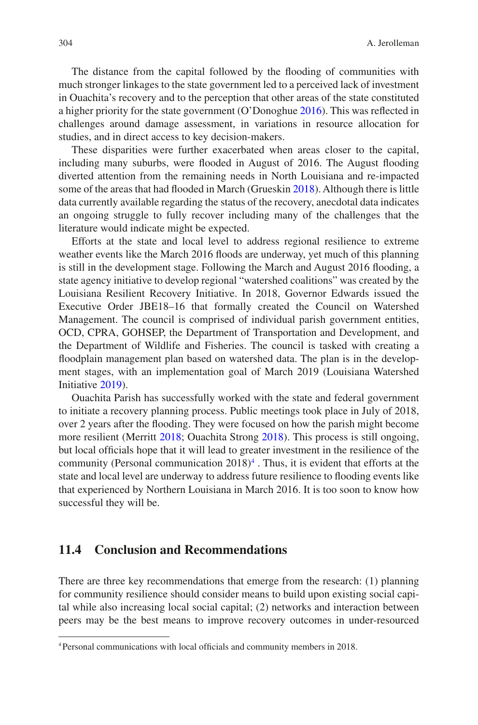The distance from the capital followed by the flooding of communities with much stronger linkages to the state government led to a perceived lack of investment in Ouachita's recovery and to the perception that other areas of the state constituted a higher priority for the state government (O'Donoghue [2016\)](#page-24-16). This was reflected in challenges around damage assessment, in variations in resource allocation for studies, and in direct access to key decision-makers.

These disparities were further exacerbated when areas closer to the capital, including many suburbs, were flooded in August of 2016. The August flooding diverted attention from the remaining needs in North Louisiana and re-impacted some of the areas that had flooded in March (Grueskin [2018](#page-23-17)). Although there is little data currently available regarding the status of the recovery, anecdotal data indicates an ongoing struggle to fully recover including many of the challenges that the literature would indicate might be expected.

Efforts at the state and local level to address regional resilience to extreme weather events like the March 2016 floods are underway, yet much of this planning is still in the development stage. Following the March and August 2016 flooding, a state agency initiative to develop regional "watershed coalitions" was created by the Louisiana Resilient Recovery Initiative. In 2018, Governor Edwards issued the Executive Order JBE18–16 that formally created the Council on Watershed Management. The council is comprised of individual parish government entities, OCD, CPRA, GOHSEP, the Department of Transportation and Development, and the Department of Wildlife and Fisheries. The council is tasked with creating a floodplain management plan based on watershed data. The plan is in the development stages, with an implementation goal of March 2019 (Louisiana Watershed Initiative [2019](#page-23-18)).

Ouachita Parish has successfully worked with the state and federal government to initiate a recovery planning process. Public meetings took place in July of 2018, over 2 years after the flooding. They were focused on how the parish might become more resilient (Merritt [2018;](#page-24-17) Ouachita Strong [2018\)](#page-24-12). This process is still ongoing, but local officials hope that it will lead to greater investment in the resilience of the community (Personal communication  $2018)^4$ . Thus, it is evident that efforts at the state and local level are underway to address future resilience to flooding events like that experienced by Northern Louisiana in March 2016. It is too soon to know how successful they will be.

# **11.4 Conclusion and Recommendations**

There are three key recommendations that emerge from the research: (1) planning for community resilience should consider means to build upon existing social capital while also increasing local social capital; (2) networks and interaction between peers may be the best means to improve recovery outcomes in under-resourced

<span id="page-19-0"></span><sup>4</sup>Personal communications with local officials and community members in 2018.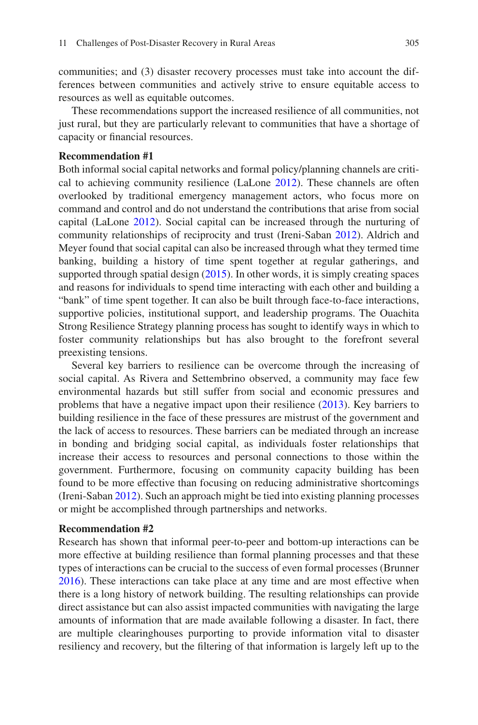communities; and (3) disaster recovery processes must take into account the differences between communities and actively strive to ensure equitable access to resources as well as equitable outcomes.

These recommendations support the increased resilience of all communities, not just rural, but they are particularly relevant to communities that have a shortage of capacity or financial resources.

### **Recommendation #1**

Both informal social capital networks and formal policy/planning channels are critical to achieving community resilience (LaLone [2012](#page-23-6)). These channels are often overlooked by traditional emergency management actors, who focus more on command and control and do not understand the contributions that arise from social capital (LaLone [2012\)](#page-23-6). Social capital can be increased through the nurturing of community relationships of reciprocity and trust (Ireni-Saban [2012](#page-23-7)). Aldrich and Meyer found that social capital can also be increased through what they termed time banking, building a history of time spent together at regular gatherings, and supported through spatial design ([2015\)](#page-22-2). In other words, it is simply creating spaces and reasons for individuals to spend time interacting with each other and building a "bank" of time spent together. It can also be built through face-to-face interactions, supportive policies, institutional support, and leadership programs. The Ouachita Strong Resilience Strategy planning process has sought to identify ways in which to foster community relationships but has also brought to the forefront several preexisting tensions.

Several key barriers to resilience can be overcome through the increasing of social capital. As Rivera and Settembrino observed, a community may face few environmental hazards but still suffer from social and economic pressures and problems that have a negative impact upon their resilience [\(2013](#page-24-18)). Key barriers to building resilience in the face of these pressures are mistrust of the government and the lack of access to resources. These barriers can be mediated through an increase in bonding and bridging social capital, as individuals foster relationships that increase their access to resources and personal connections to those within the government. Furthermore, focusing on community capacity building has been found to be more effective than focusing on reducing administrative shortcomings (Ireni-Saban [2012\)](#page-23-7). Such an approach might be tied into existing planning processes or might be accomplished through partnerships and networks.

### **Recommendation #2**

Research has shown that informal peer-to-peer and bottom-up interactions can be more effective at building resilience than formal planning processes and that these types of interactions can be crucial to the success of even formal processes (Brunner [2016\)](#page-22-18). These interactions can take place at any time and are most effective when there is a long history of network building. The resulting relationships can provide direct assistance but can also assist impacted communities with navigating the large amounts of information that are made available following a disaster. In fact, there are multiple clearinghouses purporting to provide information vital to disaster resiliency and recovery, but the filtering of that information is largely left up to the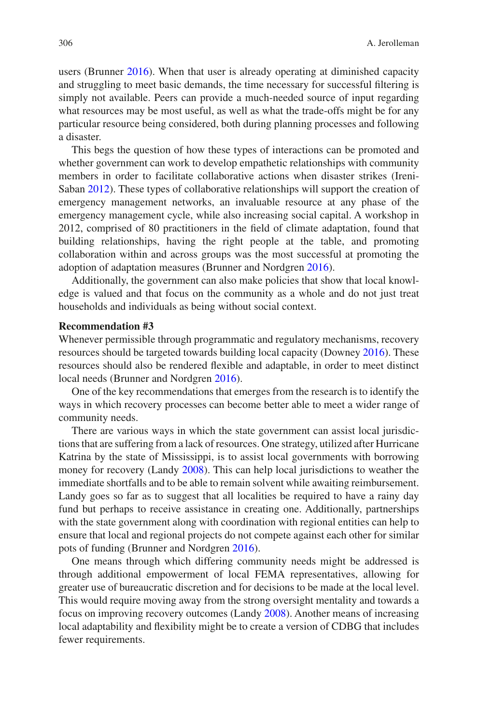users (Brunner [2016\)](#page-22-18). When that user is already operating at diminished capacity and struggling to meet basic demands, the time necessary for successful filtering is simply not available. Peers can provide a much-needed source of input regarding what resources may be most useful, as well as what the trade-offs might be for any particular resource being considered, both during planning processes and following a disaster.

This begs the question of how these types of interactions can be promoted and whether government can work to develop empathetic relationships with community members in order to facilitate collaborative actions when disaster strikes (Ireni-Saban [2012\)](#page-23-7). These types of collaborative relationships will support the creation of emergency management networks, an invaluable resource at any phase of the emergency management cycle, while also increasing social capital. A workshop in 2012, comprised of 80 practitioners in the field of climate adaptation, found that building relationships, having the right people at the table, and promoting collaboration within and across groups was the most successful at promoting the adoption of adaptation measures (Brunner and Nordgren [2016](#page-22-19)).

Additionally, the government can also make policies that show that local knowledge is valued and that focus on the community as a whole and do not just treat households and individuals as being without social context.

#### **Recommendation #3**

Whenever permissible through programmatic and regulatory mechanisms, recovery resources should be targeted towards building local capacity (Downey [2016\)](#page-22-3). These resources should also be rendered flexible and adaptable, in order to meet distinct local needs (Brunner and Nordgren [2016](#page-22-19)).

One of the key recommendations that emerges from the research is to identify the ways in which recovery processes can become better able to meet a wider range of community needs.

There are various ways in which the state government can assist local jurisdictions that are suffering from a lack of resources. One strategy, utilized after Hurricane Katrina by the state of Mississippi, is to assist local governments with borrowing money for recovery (Landy [2008\)](#page-23-4). This can help local jurisdictions to weather the immediate shortfalls and to be able to remain solvent while awaiting reimbursement. Landy goes so far as to suggest that all localities be required to have a rainy day fund but perhaps to receive assistance in creating one. Additionally, partnerships with the state government along with coordination with regional entities can help to ensure that local and regional projects do not compete against each other for similar pots of funding (Brunner and Nordgren [2016\)](#page-22-19).

One means through which differing community needs might be addressed is through additional empowerment of local FEMA representatives, allowing for greater use of bureaucratic discretion and for decisions to be made at the local level. This would require moving away from the strong oversight mentality and towards a focus on improving recovery outcomes (Landy [2008](#page-23-4)). Another means of increasing local adaptability and flexibility might be to create a version of CDBG that includes fewer requirements.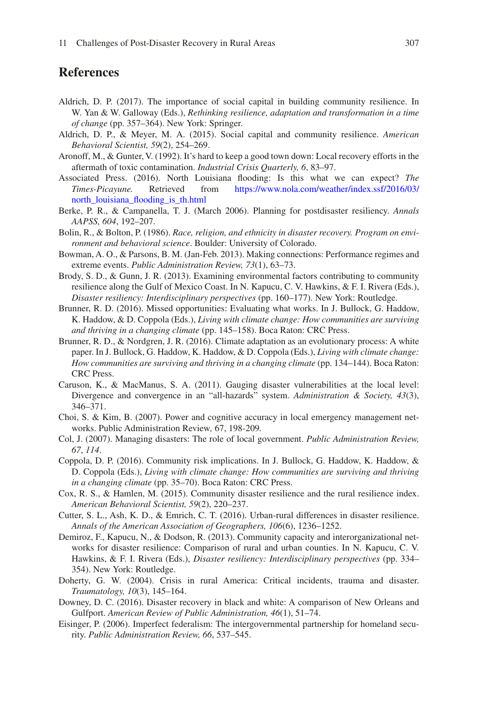# **References**

- <span id="page-22-12"></span>Aldrich, D. P. (2017). The importance of social capital in building community resilience. In W. Yan & W. Galloway (Eds.), *Rethinking resilience, adaptation and transformation in a time of change* (pp. 357–364). New York: Springer.
- <span id="page-22-2"></span>Aldrich, D. P., & Meyer, M. A. (2015). Social capital and community resilience. *American Behavioral Scientist, 59*(2), 254–269.
- <span id="page-22-9"></span>Aronoff, M., & Gunter, V. (1992). It's hard to keep a good town down: Local recovery efforts in the aftermath of toxic contamination. *Industrial Crisis Quarterly, 6*, 83–97.
- <span id="page-22-17"></span>Associated Press. (2016). North Louisiana flooding: Is this what we can expect? *The Times-Picayune.* Retrieved from [https://www.nola.com/weather/index.ssf/2016/03/](https://www.nola.com/weather/index.ssf/2016/03/north_louisiana_flooding_is_th.html) [north\\_louisiana\\_flooding\\_is\\_th.html](https://www.nola.com/weather/index.ssf/2016/03/north_louisiana_flooding_is_th.html)
- <span id="page-22-11"></span>Berke, P. R., & Campanella, T. J. (March 2006). Planning for postdisaster resiliency. *Annals AAPSS, 604*, 192–207.
- <span id="page-22-10"></span>Bolin, R., & Bolton, P. (1986). *Race, religion, and ethnicity in disaster recovery. Program on environment and behavioral science*. Boulder: University of Colorado.
- <span id="page-22-15"></span>Bowman, A. O., & Parsons, B. M. (Jan-Feb. 2013). Making connections: Performance regimes and extreme events. *Public Administration Review, 73*(1), 63–73.
- <span id="page-22-7"></span>Brody, S. D., & Gunn, J. R. (2013). Examining environmental factors contributing to community resilience along the Gulf of Mexico Coast. In N. Kapucu, C. V. Hawkins, & F. I. Rivera (Eds.), *Disaster resiliency: Interdisciplinary perspectives* (pp. 160–177). New York: Routledge.
- <span id="page-22-18"></span>Brunner, R. D. (2016). Missed opportunities: Evaluating what works. In J. Bullock, G. Haddow, K. Haddow, & D. Coppola (Eds.), *Living with climate change: How communities are surviving and thriving in a changing climate* (pp. 145–158). Boca Raton: CRC Press.
- <span id="page-22-19"></span>Brunner, R. D., & Nordgren, J. R. (2016). Climate adaptation as an evolutionary process: A white paper. In J. Bullock, G. Haddow, K. Haddow, & D. Coppola (Eds.), *Living with climate change: How communities are surviving and thriving in a changing climate* (pp. 134–144). Boca Raton: CRC Press.
- <span id="page-22-6"></span>Caruson, K., & MacManus, S. A. (2011). Gauging disaster vulnerabilities at the local level: Divergence and convergence in an "all-hazards" system. *Administration & Society, 43*(3), 346–371.
- <span id="page-22-16"></span>Choi, S. & Kim, B. (2007). Power and cognitive accuracy in local emergency management networks. Public Administration Review*,* 67, 198-209*.*
- <span id="page-22-14"></span>Col, J. (2007). Managing disasters: The role of local government. *Public Administration Review, 67*, *114*.
- <span id="page-22-1"></span>Coppola, D. P. (2016). Community risk implications. In J. Bullock, G. Haddow, K. Haddow, & D. Coppola (Eds.), *Living with climate change: How communities are surviving and thriving in a changing climate* (pp. 35–70). Boca Raton: CRC Press.
- <span id="page-22-8"></span>Cox, R. S., & Hamlen, M. (2015). Community disaster resilience and the rural resilience index. *American Behavioral Scientist, 59*(2), 220–237.
- <span id="page-22-0"></span>Cutter, S. L., Ash, K. D., & Emrich, C. T. (2016). Urban-rural differences in disaster resilience. *Annals of the American Association of Geographers, 106*(6), 1236–1252.
- <span id="page-22-5"></span>Demiroz, F., Kapucu, N., & Dodson, R. (2013). Community capacity and interorganizational networks for disaster resilience: Comparison of rural and urban counties. In N. Kapucu, C. V. Hawkins, & F. I. Rivera (Eds.), *Disaster resiliency: Interdisciplinary perspectives* (pp. 334– 354). New York: Routledge.
- <span id="page-22-4"></span>Doherty, G. W. (2004). Crisis in rural America: Critical incidents, trauma and disaster. *Traumatology, 10*(3), 145–164.
- <span id="page-22-3"></span>Downey, D. C. (2016). Disaster recovery in black and white: A comparison of New Orleans and Gulfport. *American Review of Public Administration, 46*(1), 51–74.
- <span id="page-22-13"></span>Eisinger, P. (2006). Imperfect federalism: The intergovernmental partnership for homeland security. *Public Administration Review, 66*, 537–545.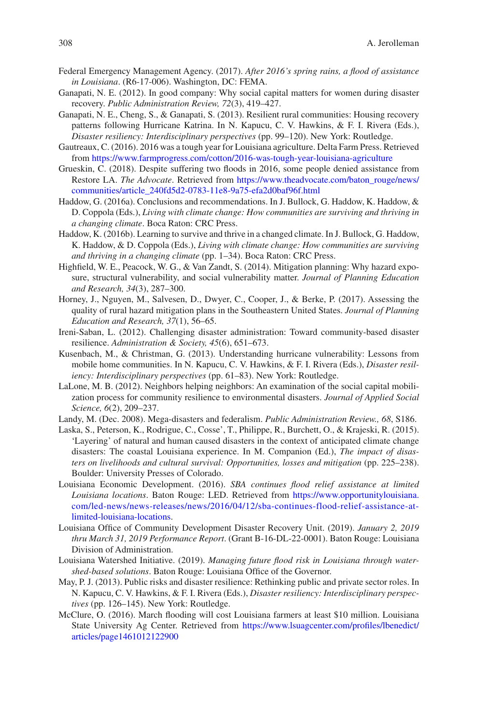- <span id="page-23-12"></span>Federal Emergency Management Agency. (2017). *After 2016's spring rains, a flood of assistance in Louisiana*. (R6-17-006). Washington, DC: FEMA.
- <span id="page-23-8"></span>Ganapati, N. E. (2012). In good company: Why social capital matters for women during disaster recovery. *Public Administration Review, 72*(3), 419–427.
- <span id="page-23-0"></span>Ganapati, N. E., Cheng, S., & Ganapati, S. (2013). Resilient rural communities: Housing recovery patterns following Hurricane Katrina. In N. Kapucu, C. V. Hawkins, & F. I. Rivera (Eds.), *Disaster resiliency: Interdisciplinary perspectives* (pp. 99–120). New York: Routledge.
- <span id="page-23-13"></span>Gautreaux, C. (2016). 2016 was a tough year for Louisiana agriculture. Delta Farm Press. Retrieved from <https://www.farmprogress.com/cotton/2016-was-tough-year-louisiana-agriculture>
- <span id="page-23-17"></span>Grueskin, C. (2018). Despite suffering two floods in 2016, some people denied assistance from Restore LA. *The Advocate*. Retrieved from [https://www.theadvocate.com/baton\\_rouge/news/](https://www.theadvocate.com/baton_rouge/news/communities/article_240fd5d2-0783-11e8-9a75-efa2d0baf96f.html) [communities/article\\_240fd5d2-0783-11e8-9a75-efa2d0baf96f.html](https://www.theadvocate.com/baton_rouge/news/communities/article_240fd5d2-0783-11e8-9a75-efa2d0baf96f.html)
- <span id="page-23-1"></span>Haddow, G. (2016a). Conclusions and recommendations. In J. Bullock, G. Haddow, K. Haddow, & D. Coppola (Eds.), *Living with climate change: How communities are surviving and thriving in a changing climate*. Boca Raton: CRC Press.
- <span id="page-23-2"></span>Haddow, K. (2016b). Learning to survive and thrive in a changed climate. In J. Bullock, G. Haddow, K. Haddow, & D. Coppola (Eds.), *Living with climate change: How communities are surviving and thriving in a changing climate* (pp. 1–34). Boca Raton: CRC Press.
- <span id="page-23-9"></span>Highfield, W. E., Peacock, W. G., & Van Zandt, S. (2014). Mitigation planning: Why hazard exposure, structural vulnerability, and social vulnerability matter. *Journal of Planning Education and Research, 34*(3), 287–300.
- <span id="page-23-5"></span>Horney, J., Nguyen, M., Salvesen, D., Dwyer, C., Cooper, J., & Berke, P. (2017). Assessing the quality of rural hazard mitigation plans in the Southeastern United States. *Journal of Planning Education and Research, 37*(1), 56–65.
- <span id="page-23-7"></span>Ireni-Saban, L. (2012). Challenging disaster administration: Toward community-based disaster resilience. *Administration & Society, 45*(6), 651–673.
- <span id="page-23-10"></span>Kusenbach, M., & Christman, G. (2013). Understanding hurricane vulnerability: Lessons from mobile home communities. In N. Kapucu, C. V. Hawkins, & F. I. Rivera (Eds.), *Disaster resiliency: Interdisciplinary perspectives* (pp. 61–83). New York: Routledge.
- <span id="page-23-6"></span>LaLone, M. B. (2012). Neighbors helping neighbors: An examination of the social capital mobilization process for community resilience to environmental disasters. *Journal of Applied Social Science, 6*(2), 209–237.
- <span id="page-23-4"></span>Landy, M. (Dec. 2008). Mega-disasters and federalism. *Public Administration Review., 68*, S186.
- <span id="page-23-11"></span>Laska, S., Peterson, K., Rodrigue, C., Cosse', T., Philippe, R., Burchett, O., & Krajeski, R. (2015). 'Layering' of natural and human caused disasters in the context of anticipated climate change disasters: The coastal Louisiana experience. In M. Companion (Ed.), *The impact of disasters on livelihoods and cultural survival: Opportunities, losses and mitigation* (pp. 225–238). Boulder: University Presses of Colorado.
- <span id="page-23-16"></span>Louisiana Economic Development. (2016). *SBA continues flood relief assistance at limited Louisiana locations*. Baton Rouge: LED. Retrieved from [https://www.opportunitylouisiana.](https://www.opportunitylouisiana.com/led-news/news-releases/news/2016/04/12/sba-continues-flood-relief-assistance-at-limited-louisiana-locations) [com/led-news/news-releases/news/2016/04/12/sba-continues-flood-relief-assistance-at](https://www.opportunitylouisiana.com/led-news/news-releases/news/2016/04/12/sba-continues-flood-relief-assistance-at-limited-louisiana-locations)[limited-louisiana-locations.](https://www.opportunitylouisiana.com/led-news/news-releases/news/2016/04/12/sba-continues-flood-relief-assistance-at-limited-louisiana-locations)
- <span id="page-23-15"></span>Louisiana Office of Community Development Disaster Recovery Unit. (2019). *January 2, 2019 thru March 31, 2019 Performance Report*. (Grant B-16-DL-22-0001). Baton Rouge: Louisiana Division of Administration.
- <span id="page-23-18"></span>Louisiana Watershed Initiative. (2019). *Managing future flood risk in Louisiana through watershed-based solutions*. Baton Rouge: Louisiana Office of the Governor.
- <span id="page-23-3"></span>May, P. J. (2013). Public risks and disaster resilience: Rethinking public and private sector roles. In N. Kapucu, C. V. Hawkins, & F. I. Rivera (Eds.), *Disaster resiliency: Interdisciplinary perspectives* (pp. 126–145). New York: Routledge.
- <span id="page-23-14"></span>McClure, O. (2016). March flooding will cost Louisiana farmers at least \$10 million. Louisiana State University Ag Center. Retrieved from [https://www.lsuagcenter.com/profiles/lbenedict/](https://www.lsuagcenter.com/profiles/lbenedict/articles/page1461012122900) [articles/page1461012122900](https://www.lsuagcenter.com/profiles/lbenedict/articles/page1461012122900)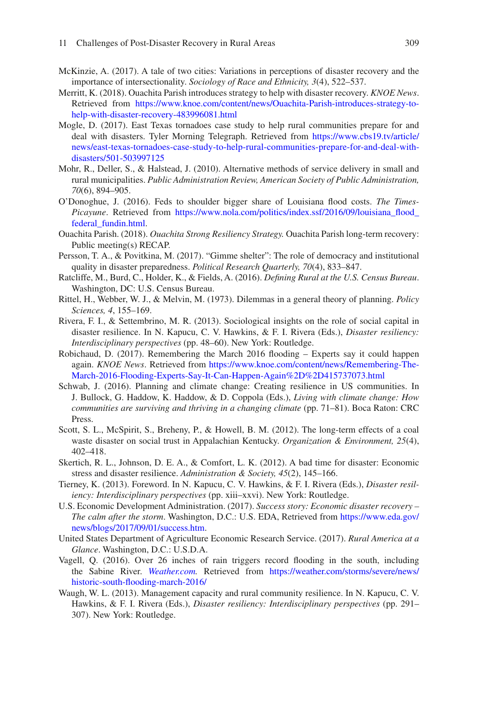- <span id="page-24-11"></span>McKinzie, A. (2017). A tale of two cities: Variations in perceptions of disaster recovery and the importance of intersectionality. *Sociology of Race and Ethnicity, 3*(4), 522–537.
- <span id="page-24-17"></span>Merritt, K. (2018). Ouachita Parish introduces strategy to help with disaster recovery. *KNOE News*. Retrieved from [https://www.knoe.com/content/news/Ouachita-Parish-introduces-strategy-to](https://www.knoe.com/content/news/Ouachita-Parish-introduces-strategy-to-help-with-disaster-recovery-483996081.html)[help-with-disaster-recovery-483996081.html](https://www.knoe.com/content/news/Ouachita-Parish-introduces-strategy-to-help-with-disaster-recovery-483996081.html)
- <span id="page-24-5"></span>Mogle, D. (2017). East Texas tornadoes case study to help rural communities prepare for and deal with disasters. Tyler Morning Telegraph. Retrieved from [https://www.cbs19.tv/article/](https://www.cbs19.tv/article/news/east-texas-tornadoes-case-study-to-help-rural-communities-prepare-for-and-deal-with-disasters/501-503997125) [news/east-texas-tornadoes-case-study-to-help-rural-communities-prepare-for-and-deal-with](https://www.cbs19.tv/article/news/east-texas-tornadoes-case-study-to-help-rural-communities-prepare-for-and-deal-with-disasters/501-503997125)[disasters/501-503997125](https://www.cbs19.tv/article/news/east-texas-tornadoes-case-study-to-help-rural-communities-prepare-for-and-deal-with-disasters/501-503997125)
- <span id="page-24-10"></span>Mohr, R., Deller, S., & Halstead, J. (2010). Alternative methods of service delivery in small and rural municipalities. *Public Administration Review, American Society of Public Administration, 70*(6), 894–905.
- <span id="page-24-16"></span>O'Donoghue, J. (2016). Feds to shoulder bigger share of Louisiana flood costs. *The Times-Picayune*. Retrieved from https://www.nola.com/politics/index.ssf/2016/09/louisiana flood [federal\\_fundin.html.](https://www.nola.com/politics/index.ssf/2016/09/louisiana_flood_federal_fundin.html)
- <span id="page-24-12"></span>Ouachita Parish. (2018). *Ouachita Strong Resiliency Strategy.* Ouachita Parish long-term recovery: Public meeting(s) RECAP.
- <span id="page-24-7"></span>Persson, T. A., & Povitkina, M. (2017). "Gimme shelter": The role of democracy and institutional quality in disaster preparedness. *Political Research Quarterly, 70*(4), 833–847.
- <span id="page-24-4"></span>Ratcliffe, M., Burd, C., Holder, K., & Fields, A. (2016). *Defining Rural at the U.S. Census Bureau*. Washington, DC: U.S. Census Bureau.
- <span id="page-24-3"></span>Rittel, H., Webber, W. J., & Melvin, M. (1973). Dilemmas in a general theory of planning. *Policy Sciences, 4*, 155–169.
- <span id="page-24-18"></span>Rivera, F. I., & Settembrino, M. R. (2013). Sociological insights on the role of social capital in disaster resilience. In N. Kapucu, C. V. Hawkins, & F. I. Rivera (Eds.), *Disaster resiliency: Interdisciplinary perspectives* (pp. 48–60). New York: Routledge.
- <span id="page-24-13"></span>Robichaud, D. (2017). Remembering the March 2016 flooding – Experts say it could happen again. *KNOE News*. Retrieved from [https://www.knoe.com/content/news/Remembering-The-](https://www.knoe.com/content/news/Remembering-The-March-2016-Flooding-Experts-Say-It-Can-Happen-Again--415737073.html)[March-2016-Flooding-Experts-Say-It-Can-Happen-Again%2D%2D415737073.html](https://www.knoe.com/content/news/Remembering-The-March-2016-Flooding-Experts-Say-It-Can-Happen-Again--415737073.html)
- <span id="page-24-8"></span>Schwab, J. (2016). Planning and climate change: Creating resilience in US communities. In J. Bullock, G. Haddow, K. Haddow, & D. Coppola (Eds.), *Living with climate change: How communities are surviving and thriving in a changing climate* (pp. 71–81). Boca Raton: CRC Press.
- <span id="page-24-1"></span>Scott, S. L., McSpirit, S., Breheny, P., & Howell, B. M. (2012). The long-term effects of a coal waste disaster on social trust in Appalachian Kentucky. *Organization & Environment, 25*(4), 402–418.
- <span id="page-24-2"></span>Skertich, R. L., Johnson, D. E. A., & Comfort, L. K. (2012). A bad time for disaster: Economic stress and disaster resilience. *Administration & Society, 45*(2), 145–166.
- <span id="page-24-0"></span>Tierney, K. (2013). Foreword. In N. Kapucu, C. V. Hawkins, & F. I. Rivera (Eds.), *Disaster resiliency: Interdisciplinary perspectives* (pp. xiii–xxvi). New York: Routledge.
- <span id="page-24-15"></span>U.S. Economic Development Administration. (2017). *Success story: Economic disaster recovery – The calm after the storm*. Washington, D.C.: U.S. EDA, Retrieved from [https://www.eda.gov/](https://www.eda.gov/news/blogs/2017/09/01/success.htm) [news/blogs/2017/09/01/success.htm](https://www.eda.gov/news/blogs/2017/09/01/success.htm).
- <span id="page-24-9"></span>United States Department of Agriculture Economic Research Service. (2017). *Rural America at a Glance*. Washington, D.C.: U.S.D.A.
- <span id="page-24-14"></span>Vagell, Q. (2016). Over 26 inches of rain triggers record flooding in the south, including the Sabine River. *[Weather.com.](http://weather.com)* Retrieved from [https://weather.com/storms/severe/news/](https://weather.com/storms/severe/news/historic-south-flooding-march-2016/) [historic-south-flooding-march-2016/](https://weather.com/storms/severe/news/historic-south-flooding-march-2016/)
- <span id="page-24-6"></span>Waugh, W. L. (2013). Management capacity and rural community resilience. In N. Kapucu, C. V. Hawkins, & F. I. Rivera (Eds.), *Disaster resiliency: Interdisciplinary perspectives* (pp. 291– 307). New York: Routledge.